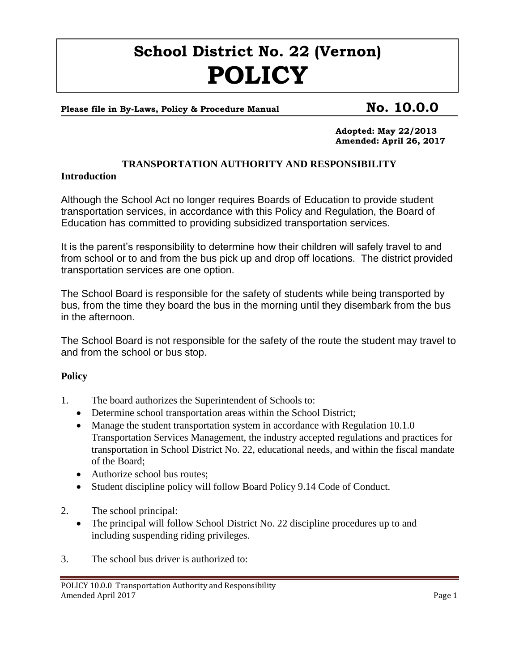# **School District No. 22 (Vernon) POLICY**

## Please file in By-Laws, Policy & Procedure Manual **No. 10.0.0**

**Adopted: May 22/2013 Amended: April 26, 2017**

### **TRANSPORTATION AUTHORITY AND RESPONSIBILITY**

#### **Introduction**

Although the School Act no longer requires Boards of Education to provide student transportation services, in accordance with this Policy and Regulation, the Board of Education has committed to providing subsidized transportation services.

It is the parent's responsibility to determine how their children will safely travel to and from school or to and from the bus pick up and drop off locations. The district provided transportation services are one option.

The School Board is responsible for the safety of students while being transported by bus, from the time they board the bus in the morning until they disembark from the bus in the afternoon.

The School Board is not responsible for the safety of the route the student may travel to and from the school or bus stop.

#### **Policy**

- 1. The board authorizes the Superintendent of Schools to:
	- Determine school transportation areas within the School District;
	- Manage the student transportation system in accordance with Regulation 10.1.0 Transportation Services Management, the industry accepted regulations and practices for transportation in School District No. 22, educational needs, and within the fiscal mandate of the Board;
	- Authorize school bus routes:
	- Student discipline policy will follow Board Policy 9.14 Code of Conduct.
- 2. The school principal:
	- The principal will follow School District No. 22 discipline procedures up to and including suspending riding privileges.
- 3. The school bus driver is authorized to: